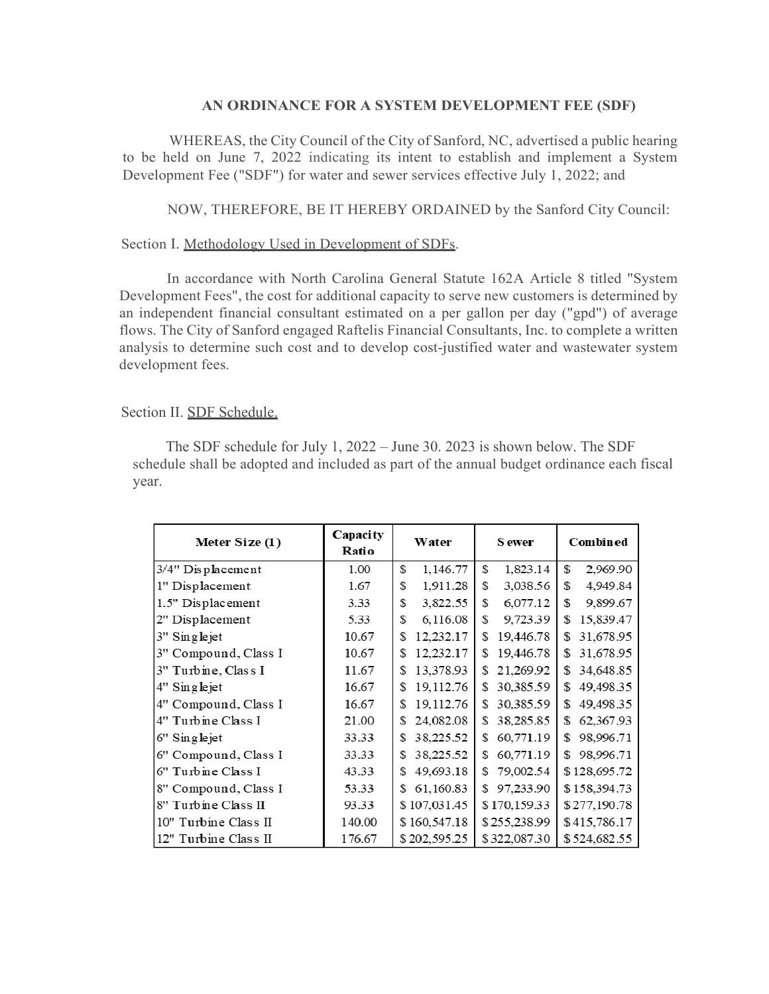## **AN ORDINANCE FOR A SYSTEM DEVELOPMENT FEE (SDF)**

WHEREAS, the City Council of the City of Sanford, NC, advertised a public hearing to be held on June 7, 2022 indicating its intent to establish and implement a System Development Fee ("SDF") for water and sewer services effective July 1, 2022; and

NOW, THEREFORE, BE IT HEREBY ORDAINED by the Sanford City Council:

## Section I. Methodology Used in Development of SDFs.

In accordance with North Carolina General Statute 162A Article 8 titled "System Development Fees", the cost for additional capacity to serve new customers is determined by an independent financial consultant estimated on a per gallon per day ("gpd") of average flows. The City of Sanford engaged Raftelis Financial Consultants, Inc. to complete a written analysis to determine such cost and to develop cost-justified water and wastewater system development fees.

## Section II. SDF Schedule.

The SDF schedule for July 1, 2022 – June 30. 2023 is shown below. The SDF schedule shall be adopted and included as part of the annual budget ordinance each fiscal year.

| Meter Size (1)       | Capacity<br>Ratio | Water           | <b>S</b> ewer   | Combined        |
|----------------------|-------------------|-----------------|-----------------|-----------------|
| 3/4" Displacement    | 1.00              | 1,146.77<br>S   | S<br>1,823.14   | \$<br>2,969.90  |
| 1" Displacement      | 1.67              | 1,911.28<br>\$  | \$<br>3,038.56  | \$<br>4,949.84  |
| 1.5" Displacement    | 3.33              | 3,822.55<br>\$  | 6,077.12<br>S   | \$.<br>9,899.67 |
| 2" Displacement      | 5.33              | 6,116.08<br>\$  | S<br>9,723.39   | S<br>15,839.47  |
| 3" Singlejet         | 10.67             | 12,232.17<br>\$ | 19,446.78<br>S  | 31,678.95<br>S  |
| 3" Compound, Class I | 10.67             | 12,232.17<br>\$ | 19,446.78<br>\$ | 31,678.95<br>\$ |
| 3" Turbine, Class I  | 11.67             | 13,378.93<br>S  | 21,269.92<br>\$ | 34,648.85<br>S  |
| 4" Singlejet         | 16.67             | 19,112.76<br>\$ | 30,385.59<br>\$ | 49,498.35<br>\$ |
| 4" Compound, Class I | 16.67             | 19,112.76<br>\$ | 30,385.59<br>S  | 49,498.35<br>S  |
| 4" Turbine Class I   | 21.00             | 24,082.08<br>\$ | 38,285.85<br>S  | 62,367.93<br>S  |
| 6" Singlejet         | 33.33             | 38,225.52<br>\$ | 60,771.19<br>\$ | \$<br>98,996.71 |
| 6" Compound, Class I | 33.33             | 38,225.52<br>\$ | 60,771.19<br>\$ | 98,996.71<br>S  |
| 6" Turbine Class I   | 43.33             | 49,693.18<br>\$ | 79,002.54<br>S  | \$128,695.72    |
| 8" Compound, Class I | 53.33             | 61,160.83<br>\$ | 97,233.90<br>S  | \$158,394.73    |
| 8" Turbine Class II  | 93.33             | \$107,031.45    | \$170,159.33    | \$277,190.78    |
| 10" Turbine Class II | 140.00            | \$160,547.18    | \$255,238.99    | \$415,786.17    |
| 12" Turbine Class II | 176.67            | \$202,595.25    | \$322,087.30    | \$524,682.55    |